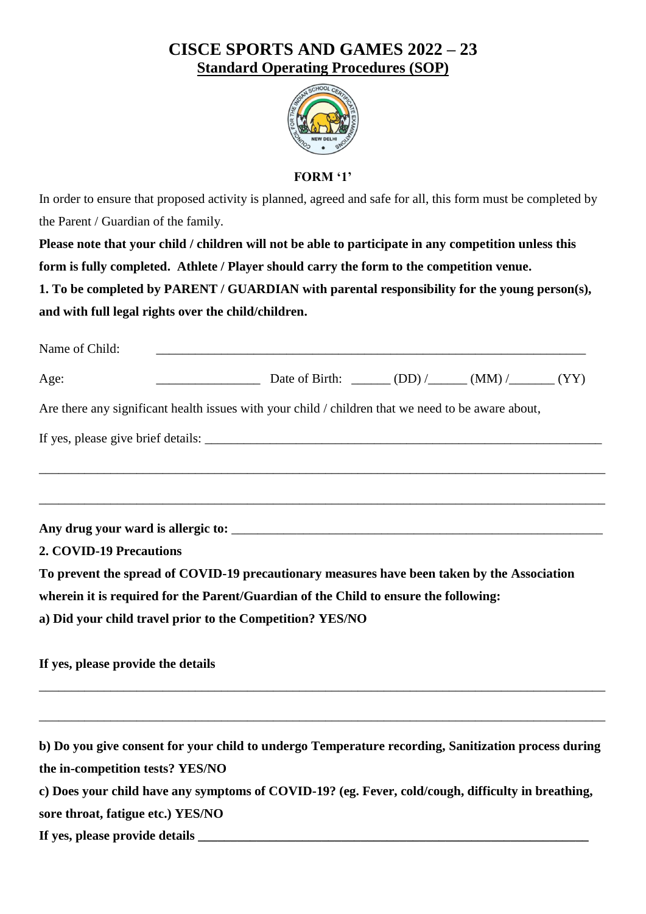## **CISCE SPORTS AND GAMES 2022 – 23 Standard Operating Procedures (SOP)**



**FORM '1'**

In order to ensure that proposed activity is planned, agreed and safe for all, this form must be completed by the Parent / Guardian of the family.

**Please note that your child / children will not be able to participate in any competition unless this form is fully completed. Athlete / Player should carry the form to the competition venue.**

**1. To be completed by PARENT / GUARDIAN with parental responsibility for the young person(s), and with full legal rights over the child/children.**

| Name of Child:                     |                                                                                                     |  |  |
|------------------------------------|-----------------------------------------------------------------------------------------------------|--|--|
| Age:                               | Date of Birth: ______ (DD) /_____ (MM) /______ (YY)                                                 |  |  |
|                                    | Are there any significant health issues with your child / children that we need to be aware about,  |  |  |
|                                    |                                                                                                     |  |  |
|                                    | ,我们也不会有什么。""我们的人,我们也不会有什么?""我们的人,我们也不会有什么?""我们的人,我们也不会有什么?""我们的人,我们也不会有什么?""我们的人                    |  |  |
|                                    |                                                                                                     |  |  |
| 2. COVID-19 Precautions            |                                                                                                     |  |  |
|                                    | To prevent the spread of COVID-19 precautionary measures have been taken by the Association         |  |  |
|                                    | wherein it is required for the Parent/Guardian of the Child to ensure the following:                |  |  |
|                                    | a) Did your child travel prior to the Competition? YES/NO                                           |  |  |
| If yes, please provide the details |                                                                                                     |  |  |
|                                    | ,我们也不会有什么。""我们的人,我们也不会有什么?""我们的人,我们也不会有什么?""我们的人,我们也不会有什么?""我们的人,我们也不会有什么?""我们的人                    |  |  |
|                                    | b) Do you give consent for your child to undergo Temperature recording, Sanitization process during |  |  |
| the in-competition tests? YES/NO   |                                                                                                     |  |  |
|                                    | c) Does your child have any symptoms of COVID-19? (eg. Fever, cold/cough, difficulty in breathing,  |  |  |
| sore throat, fatigue etc.) YES/NO  |                                                                                                     |  |  |

**If yes, please provide details \_\_\_\_\_\_\_\_\_\_\_\_\_\_\_\_\_\_\_\_\_\_\_\_\_\_\_\_\_\_\_\_\_\_\_\_\_\_\_\_\_\_\_\_\_\_\_\_\_\_\_\_\_\_\_\_\_\_\_\_**